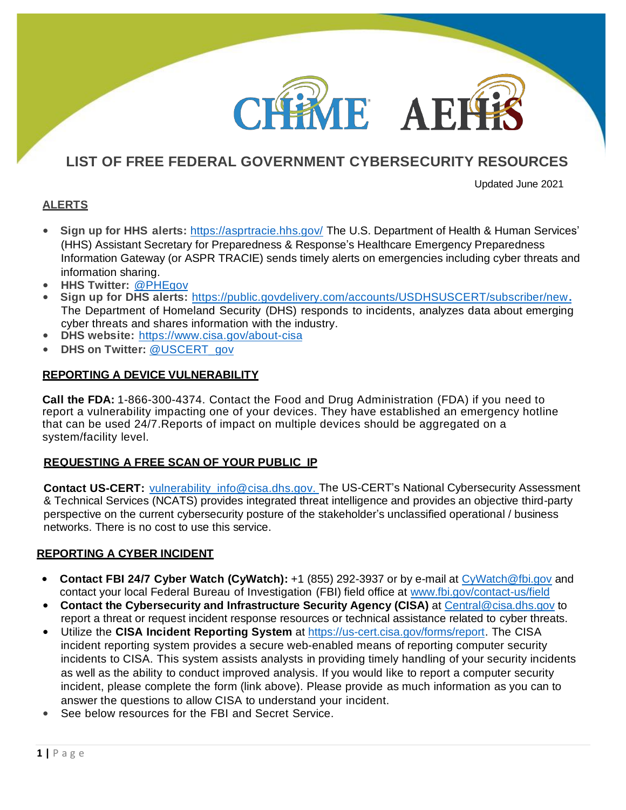## **LIST OF FREE FEDERAL GOVERNMENT CYBERSECURITY RESOURCES**

**IE AE** 

Updated June 2021

## **ALERTS**

- **Sign up for HHS alerts:** <https://asprtracie.hhs.gov/> The U.S. Department of Health & Human Services' (HHS) Assistant Secretary for Preparedness & Response's Healthcare Emergency Preparedness Information Gateway (or ASPR TRACIE) sends timely alerts on emergencies including cyber threats and information sharing.
- **HHS Twitter:** [@PHEgov](https://twitter.com/phegov)
- **Sign up for DHS alerts:** <https://public.govdelivery.com/accounts/USDHSUSCERT/subscriber/new>**.** The Department of Homeland Security (DHS) responds to incidents, analyzes data about emerging cyber threats and shares information with the industry.
- **DHS website:** https:[//www.cisa.gov/about-cisa](https://www.cisa.gov/about-cisa)
- **DHS on Twitter:** [@USCERT\\_gov](https://twitter.com/USCERT_gov)

## **REPORTING A DEVICE VULNERABILITY**

**Call the FDA:** 1-866-300-4374. Contact the Food and Drug Administration (FDA) if you need to report a vulnerability impacting one of your devices. They have established an emergency hotline that can be used 24/7.Reports of impact on multiple devices should be aggregated on a system/facility level.

### **REQUESTING A FREE SCAN OF YOUR PUBLIC IP**

**Contact US-CERT:** [vulnerability\\_info@cisa.dhs.gov.](mailto:vulnerability_info@cisa.dhs.gov) The US-CERT's National Cybersecurity Assessment & Technical Services (NCATS) provides integrated threat intelligence and provides an objective third-party perspective on the current cybersecurity posture of the stakeholder's unclassified operational / business networks. There is no cost to use this service.

### **REPORTING A CYBER INCIDENT**

- **Contact FBI 24/7 Cyber Watch (CyWatch):** +1 (855) 292-3937 or by e-mail at [CyWatch@fbi.gov](mailto:CyWatch@fbi.gov) and contact your local Federal Bureau of Investigation (FBI) field office at [www.fbi.gov/contact-us/field](http://www.fbi.gov/contact-us/field)
- **Contact the Cybersecurity and Infrastructure Security Agency (CISA)** at [Central@cisa.dhs.gov](mailto:Central@cisa.dhs.gov) to report a threat or request incident response resources or technical assistance related to cyber threats.
- Utilize the **CISA Incident Reporting System** at [https://us-cert.cisa.gov/forms/report.](https://us-cert.cisa.gov/forms/report) The CISA incident reporting system provides a secure web-enabled means of reporting computer security incidents to CISA. This system assists analysts in providing timely handling of your security incidents as well as the ability to conduct improved analysis. If you would like to report a computer security incident, please complete the form (link above). Please provide as much information as you can to answer the questions to allow CISA to understand your incident.
- See below resources for the FBI and Secret Service.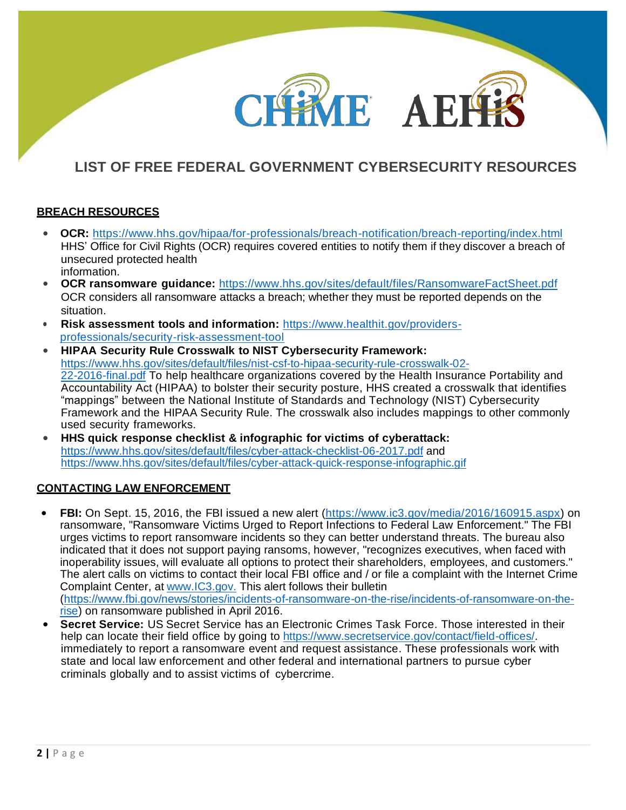# **LIST OF FREE FEDERAL GOVERNMENT CYBERSECURITY RESOURCES**

ME AEI

## **BREACH RESOURCES**

- **OCR:** [https://www.hhs.gov/hipaa/for-professionals/breach-notification/breach-](https://www.hhs.gov/hipaa/for-professionals/breach-notification/breach-reporting/index.html)[reporting/index.html](about:blank) [HH](about:blank)S' Office for Civil Rights (OCR) requires covered entities to notify them if they discover a breach of unsecured protected health information.
- **OCR ransomware guidance:** <https://www.hhs.gov/sites/default/files/RansomwareFactSheet.pdf> OCR considers all ransomware attacks a breach; whether they must be reported depends on the situation.
- **Risk assessment tools and information:** [https://www.healthit.gov/providers](https://www.healthit.gov/topic/privacy-security-and-hipaa/security-risk-assessment-tool) [professionals/security-risk-assessment-tool](https://www.healthit.gov/topic/privacy-security-and-hipaa/security-risk-assessment-tool)
- **HIPAA Security Rule Crosswalk to NIST Cybersecurity Framework:** [https://www.hhs.gov/sites/default/files/nist-csf-to-hipaa-security-rule-crosswalk-02-](https://www.hhs.gov/sites/default/files/nist-csf-to-hipaa-security-rule-crosswalk-02-22-2016-final.pdf) [22-2016-final.pdf](https://www.hhs.gov/sites/default/files/nist-csf-to-hipaa-security-rule-crosswalk-02-22-2016-final.pdf) To help healthcare organizations covered by the Health Insurance Portability and Accountability Act (HIPAA) to bolster their security posture, HHS created a crosswalk that identifies "mappings" between the National Institute of Standards and Technology (NIST) Cybersecurity Framework and the HIPAA Security Rule. The crosswalk also includes mappings to other commonly used security frameworks.
- **HHS quick response checklist & infographic for victims of cyberattack:** <https://www.hhs.gov/sites/default/files/cyber-attack-checklist-06-2017.pdf> and <https://www.hhs.gov/sites/default/files/cyber-attack-quick-response-infographic.gif>

### **CONTACTING LAW ENFORCEMENT**

- **FBI:** On Sept. 15, 2016, the FBI issued a new alert [\(https://www.ic3.gov/media/2016/160915.aspx\)](https://www.ic3.gov/Media/Y2016/PSA160915) on ransomware, "Ransomware Victims Urged to Report Infections to Federal Law Enforcement." The FBI urges victims to report ransomware incidents so they can better understand threats. The bureau also indicated that it does not support paying ransoms, however, "recognizes executives, when faced with inoperability issues, will evaluate all options to protect their shareholders, employees, and customers." The alert calls on victims to contact their local FBI office and / or file a complaint with the Internet Crime Complaint Center, at [www.IC3.gov.](http://www.ic3.gov./) This alert follows their bulletin [\(https://www.fbi.gov/news/stories/incidents-of-ransomware-](https://www.fbi.gov/news/stories/incidents-of-ransomware-on-the-rise/incidents-of-ransomware-on-the-rise)[on-the-rise/incidents-of-ransomware-](about:blank)[on-the](https://www.fbi.gov/news/stories/incidents-of-ransomware-on-the-rise/incidents-of-ransomware-on-the-rise)[rise\)](https://www.fbi.gov/news/stories/incidents-of-ransomware-on-the-rise/incidents-of-ransomware-on-the-rise) on ransomware published in April 2016.
- **Secret Service:** US Secret Service has an Electronic Crimes Task Force. Those interested in their help can locate their field office by going to [https://www.secretservice.gov/contact/field-offices/.](https://www.secretservice.gov/contact/field-offices) immediately to report a ransomware event and request assistance. These professionals work with state and local law enforcement and other federal and international partners to pursue cyber criminals globally and to assist victims of cybercrime.